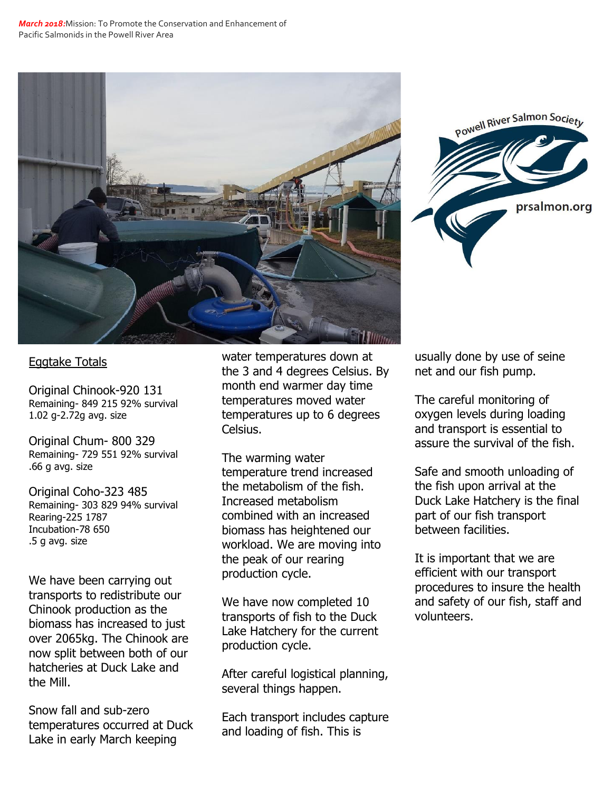



## Eggtake Totals

Original Chinook-920 131 Remaining- 849 215 92% survival 1.02 g-2.72g avg. size

Original Chum- 800 329 Remaining- 729 551 92% survival .66 g avg. size

Original Coho-323 485 Remaining- 303 829 94% survival Rearing-225 1787 Incubation-78 650 .5 g avg. size

We have been carrying out transports to redistribute our Chinook production as the biomass has increased to just over 2065kg. The Chinook are now split between both of our hatcheries at Duck Lake and the Mill.

Snow fall and sub-zero temperatures occurred at Duck Lake in early March keeping

water temperatures down at the 3 and 4 degrees Celsius. By month end warmer day time temperatures moved water temperatures up to 6 degrees Celsius.

The warming water temperature trend increased the metabolism of the fish. Increased metabolism combined with an increased biomass has heightened our workload. We are moving into the peak of our rearing production cycle.

We have now completed 10 transports of fish to the Duck Lake Hatchery for the current production cycle.

After careful logistical planning, several things happen.

Each transport includes capture and loading of fish. This is

usually done by use of seine net and our fish pump.

The careful monitoring of oxygen levels during loading and transport is essential to assure the survival of the fish.

Safe and smooth unloading of the fish upon arrival at the Duck Lake Hatchery is the final part of our fish transport between facilities.

It is important that we are efficient with our transport procedures to insure the health and safety of our fish, staff and volunteers.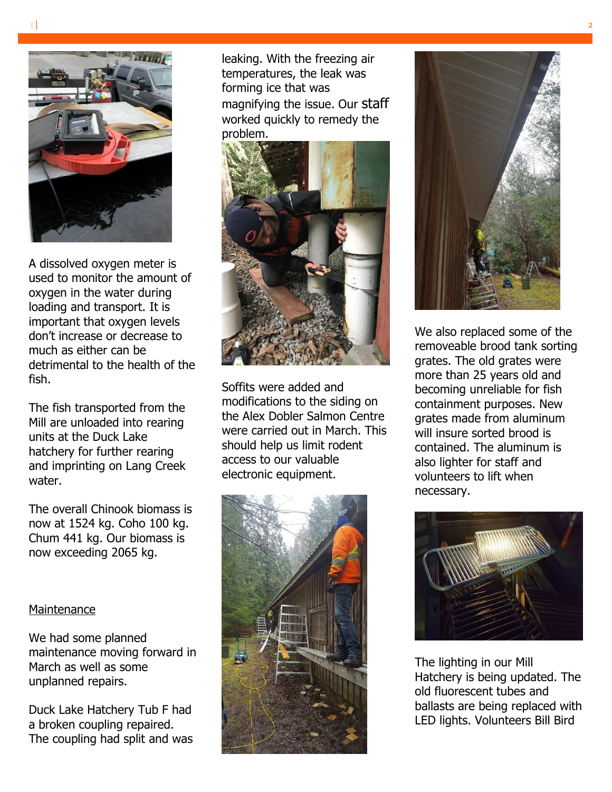

A dissolved oxygen meter is used to monitor the amount of oxygen in the water during loading and transport. It is important that oxygen levels don't increase or decrease to much as either can be detrimental to the health of the fish.

The fish transported from the Mill are unloaded into rearing units at the Duck Lake hatchery for further rearing and imprinting on Lang Creek water.

The overall Chinook biomass is now at 1524 kg. Coho 100 kg. Chum 441 kg. Our biomass is now exceeding 2065 kg.

## **Maintenance**

We had some planned maintenance moving forward in March as well as some unplanned repairs.

Duck Lake Hatchery Tub F had a broken coupling repaired. The coupling had split and was

leaking. With the freezing air temperatures, the leak was forming ice that was magnifying the issue. Our staff worked quickly to remedy the problem.



Soffits were added and modifications to the siding on the Alex Dobler Salmon Centre were carried out in March. This should help us limit rodent access to our valuable electronic equipment.





We also replaced some of the removeable brood tank sorting grates. The old grates were more than 25 years old and becoming unreliable for fish containment purposes. New grates made from aluminum will insure sorted brood is contained. The aluminum is also lighter for staff and volunteers to lift when necessary.



The lighting in our Mill Hatchery is being updated. The old fluorescent tubes and ballasts are being replaced with LED lights. Volunteers Bill Bird